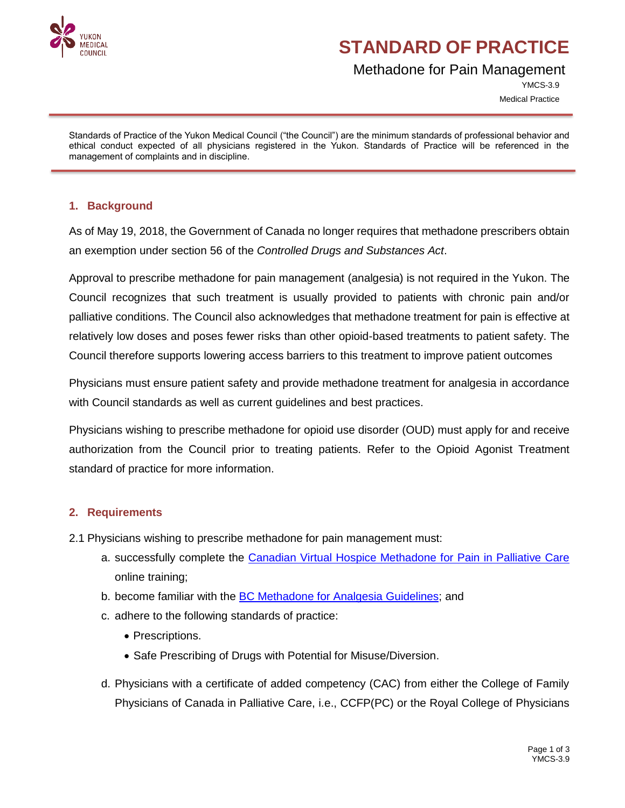

## **STANDARD OF PRACTICE**

### Methadone for Pain Management

YMCS-3.9 Medical Practice

Standards of Practice of the Yukon Medical Council ("the Council") are the minimum standards of professional behavior and ethical conduct expected of all physicians registered in the Yukon. Standards of Practice will be referenced in the management of complaints and in discipline.

#### **1. Background**

As of May 19, 2018, the Government of Canada no longer requires that methadone prescribers obtain an exemption under section 56 of the *Controlled Drugs and Substances Act*.

Approval to prescribe methadone for pain management (analgesia) is not required in the Yukon. The Council recognizes that such treatment is usually provided to patients with chronic pain and/or palliative conditions. The Council also acknowledges that methadone treatment for pain is effective at relatively low doses and poses fewer risks than other opioid-based treatments to patient safety. The Council therefore supports lowering access barriers to this treatment to improve patient outcomes

Physicians must ensure patient safety and provide methadone treatment for analgesia in accordance with Council standards as well as current guidelines and best practices.

Physicians wishing to prescribe methadone for opioid use disorder (OUD) must apply for and receive authorization from the Council prior to treating patients. Refer to the Opioid Agonist Treatment standard of practice for more information.

#### **2. Requirements**

- 2.1 Physicians wishing to prescribe methadone for pain management must:
	- a. successfully complete the [Canadian Virtual Hospice Methadone for Pain in Palliative Care](http://www.methadone4pain.ca/) online training;
	- b. become familiar with the [BC Methadone for Analgesia](ttps://www.cpsbc.ca/files/pdf/DP-Methadone-for-Analgesia-Guidelines.pdf) Guidelines; and
	- c. adhere to the following standards of practice:
		- Prescriptions.
		- Safe Prescribing of Drugs with Potential for Misuse/Diversion.
	- d. Physicians with a certificate of added competency (CAC) from either the College of Family Physicians of Canada in Palliative Care, i.e., CCFP(PC) or the Royal College of Physicians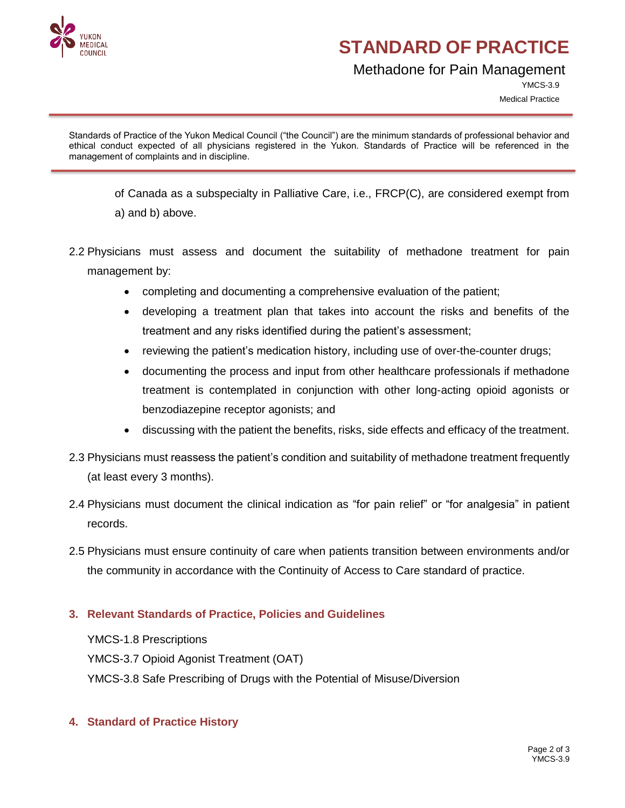

# **STANDARD OF PRACTICE**

### Methadone for Pain Management

YMCS-3.9 Medical Practice

Standards of Practice of the Yukon Medical Council ("the Council") are the minimum standards of professional behavior and ethical conduct expected of all physicians registered in the Yukon. Standards of Practice will be referenced in the management of complaints and in discipline.

of Canada as a subspecialty in Palliative Care, i.e., FRCP(C), are considered exempt from a) and b) above.

- 2.2 Physicians must assess and document the suitability of methadone treatment for pain management by:
	- completing and documenting a comprehensive evaluation of the patient;
	- developing a treatment plan that takes into account the risks and benefits of the treatment and any risks identified during the patient's assessment;
	- reviewing the patient's medication history, including use of over-the-counter drugs;
	- documenting the process and input from other healthcare professionals if methadone treatment is contemplated in conjunction with other long-acting opioid agonists or benzodiazepine receptor agonists; and
	- discussing with the patient the benefits, risks, side effects and efficacy of the treatment.
- 2.3 Physicians must reassess the patient's condition and suitability of methadone treatment frequently (at least every 3 months).
- 2.4 Physicians must document the clinical indication as "for pain relief" or "for analgesia" in patient records.
- 2.5 Physicians must ensure continuity of care when patients transition between environments and/or the community in accordance with the Continuity of Access to Care standard of practice.

#### **3. Relevant Standards of Practice, Policies and Guidelines**

YMCS-1.8 Prescriptions YMCS-3.7 Opioid Agonist Treatment (OAT) YMCS-3.8 Safe Prescribing of Drugs with the Potential of Misuse/Diversion

#### **4. Standard of Practice History**